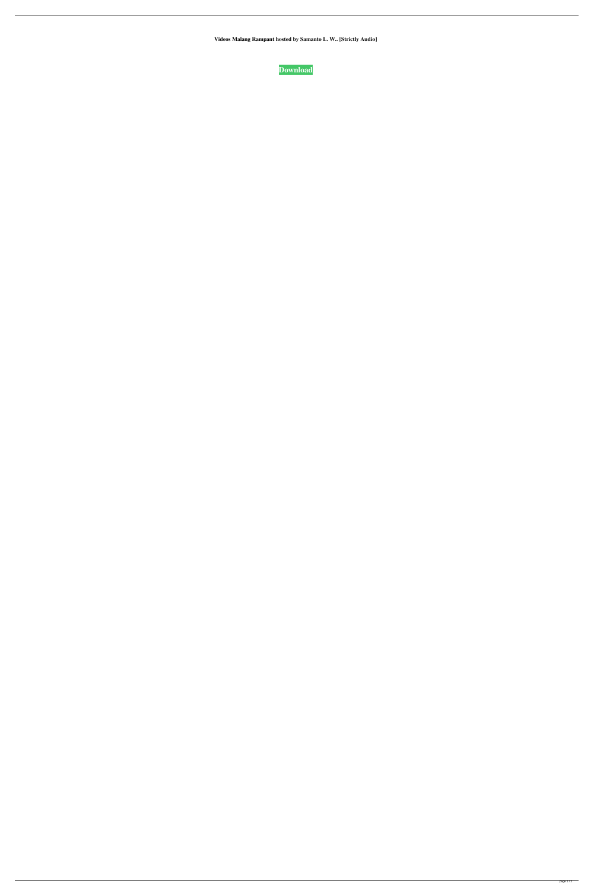**Videos Malang Rampant hosted by Samanto L. W.. [Strictly Audio]**